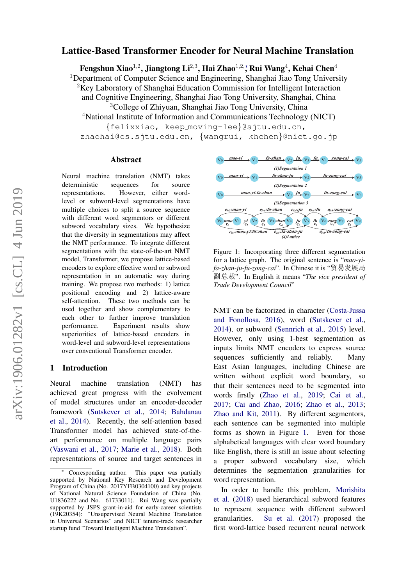# Lattice-Based Transformer Encoder for Neural Machine Translation

Fengshun Xiao<sup>1,2</sup>, Jiangtong Li<sup>2,3</sup>, Hai Zhao<sup>1,2,</sup>\*, Rui Wang<sup>4</sup>, Kehai Chen<sup>4</sup>

<sup>1</sup>Department of Computer Science and Engineering, Shanghai Jiao Tong University

<sup>2</sup>Key Laboratory of Shanghai Education Commission for Intelligent Interaction

and Cognitive Engineering, Shanghai Jiao Tong University, Shanghai, China <sup>3</sup>College of Zhiyuan, Shanghai Jiao Tong University, China

<sup>4</sup>National Institute of Information and Communications Technology (NICT) {felixxiao, keep moving-lee}@sjtu.edu.cn,

zhaohai@cs.sjtu.edu.cn, {wangrui, khchen}@nict.go.jp

#### Abstract

Neural machine translation (NMT) takes deterministic sequences for source representations. However, either wordlevel or subword-level segmentations have multiple choices to split a source sequence with different word segmentors or different subword vocabulary sizes. We hypothesize that the diversity in segmentations may affect the NMT performance. To integrate different segmentations with the state-of-the-art NMT model, Transformer, we propose lattice-based encoders to explore effective word or subword representation in an automatic way during training. We propose two methods: 1) lattice positional encoding and 2) lattice-aware self-attention. These two methods can be used together and show complementary to each other to further improve translation performance. Experiment results show superiorities of lattice-based encoders in word-level and subword-level representations over conventional Transformer encoder.

#### 1 Introduction

Neural machine translation (NMT) has achieved great progress with the evolvement of model structures under an encoder-decoder framework [\(Sutskever et al.,](#page-6-0) [2014;](#page-6-0) [Bahdanau](#page-5-0) [et al.,](#page-5-0) [2014\)](#page-5-0). Recently, the self-attention based Transformer model has achieved state-of-theart performance on multiple language pairs [\(Vaswani et al.,](#page-6-1) [2017;](#page-6-1) [Marie et al.,](#page-6-2) [2018\)](#page-6-2). Both representations of source and target sentences in

<span id="page-0-0"></span>

Figure 1: Incorporating three different segmentation for a lattice graph. The original sentence is "*mao-yifa-zhan-ju-fu-zong-cai*". In Chinese it is "贸易发展局 副总裁". In English it means "*The vice president of Trade Development Council*"

NMT can be factorized in character [\(Costa-Jussa](#page-5-1) [and Fonollosa,](#page-5-1) [2016\)](#page-5-1), word [\(Sutskever et al.,](#page-6-0) [2014\)](#page-6-0), or subword [\(Sennrich et al.,](#page-6-3) [2015\)](#page-6-3) level. However, only using 1-best segmentation as inputs limits NMT encoders to express source sequences sufficiently and reliably. Many East Asian languages, including Chinese are written without explicit word boundary, so that their sentences need to be segmented into words firstly [\(Zhao et al.,](#page-7-0) [2019;](#page-7-0) [Cai et al.,](#page-5-2) [2017;](#page-5-2) [Cai and Zhao,](#page-5-3) [2016;](#page-5-3) [Zhao et al.,](#page-7-1) [2013;](#page-7-1) [Zhao and Kit,](#page-7-2) [2011\)](#page-7-2). By different segmentors, each sentence can be segmented into multiple forms as shown in Figure [1.](#page-0-0) Even for those alphabetical languages with clear word boundary like English, there is still an issue about selecting a proper subword vocabulary size, which determines the segmentation granularities for word representation.

In order to handle this problem, [Morishita](#page-6-4) [et al.](#page-6-4) [\(2018\)](#page-6-4) used hierarchical subword features to represent sequence with different subword granularities. [Su et al.](#page-6-5) [\(2017\)](#page-6-5) proposed the first word-lattice based recurrent neural network

Corresponding author. This paper was partially supported by National Key Research and Development Program of China (No. 2017YFB0304100) and key projects of National Natural Science Foundation of China (No. U1836222 and No. 61733011). Rui Wang was partially supported by JSPS grant-in-aid for early-career scientists (19K20354): "Unsupervised Neural Machine Translation in Universal Scenarios" and NICT tenure-track researcher startup fund "Toward Intelligent Machine Translation".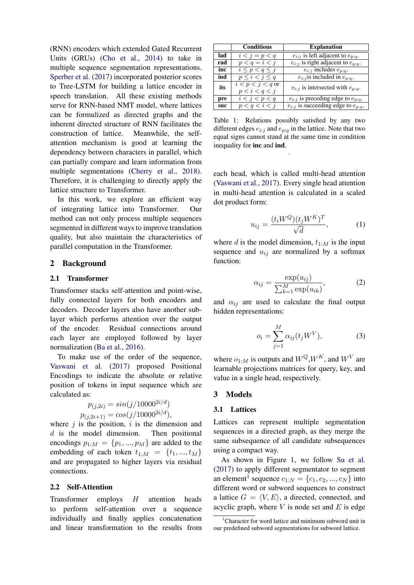(RNN) encoders which extended Gated Recurrent Units (GRUs) [\(Cho et al.,](#page-5-4) [2014\)](#page-5-4) to take in multiple sequence segmentation representations. [Sperber et al.](#page-6-6) [\(2017\)](#page-6-6) incorporated posterior scores to Tree-LSTM for building a lattice encoder in speech translation. All these existing methods serve for RNN-based NMT model, where lattices can be formulized as directed graphs and the inherent directed structure of RNN facilitates the construction of lattice. Meanwhile, the selfattention mechanism is good at learning the dependency between characters in parallel, which can partially compare and learn information from multiple segmentations [\(Cherry et al.,](#page-5-5) [2018\)](#page-5-5). Therefore, it is challenging to directly apply the lattice structure to Transformer.

In this work, we explore an efficient way of integrating lattice into Transformer. Our method can not only process multiple sequences segmented in different ways to improve translation quality, but also maintain the characteristics of parallel computation in the Transformer.

## 2 Background

#### 2.1 Transformer

Transformer stacks self-attention and point-wise, fully connected layers for both encoders and decoders. Decoder layers also have another sublayer which performs attention over the output of the encoder. Residual connections around each layer are employed followed by layer normalization [\(Ba et al.,](#page-5-6) [2016\)](#page-5-6).

To make use of the order of the sequence, [Vaswani et al.](#page-6-1) [\(2017\)](#page-6-1) proposed Positional Encodings to indicate the absolute or relative position of tokens in input sequence which are calculated as:

$$
p_{(j,2i)} = \sin(j/10000^{2i/d})
$$
  

$$
p_{(j,2i+1)} = \cos(j/10000^{2i/d}),
$$

where  $j$  is the position,  $i$  is the dimension and d is the model dimension. Then positional encodings  $p_{1:M} = \{p_1, ..., p_M\}$  are added to the embedding of each token  $t_{1:M} = \{t_1, ..., t_M\}$ and are propagated to higher layers via residual connections.

#### 2.2 Self-Attention

Transformer employs  $H$  attention heads to perform self-attention over a sequence individually and finally applies concatenation and linear transformation to the results from

<span id="page-1-1"></span>

|     | <b>Conditions</b>                   | <b>Explanation</b>                          |
|-----|-------------------------------------|---------------------------------------------|
| lad | $i < j = p < q$                     | $e_{i:j}$ is left adjacent to $e_{p:q}$ .   |
| rad | $p < q = i < j$                     | $e_{i:j}$ is right adjacent to $e_{p:q}$ .  |
| inc | $i \leq p < q \leq j$               | $e_{i:j}$ includes $e_{p;q}$ .              |
| ind | $p \leq i \leq j \leq q$            | $e_{i:j}$ is included in $e_{p:q}$ .        |
| its | $i < p < j < q$ or<br>p < i < q < j | $e_{i:j}$ is intersected with $e_{p:q}$ .   |
| pre | $\overline{i$                       | $e_{i:j}$ is preceding edge to $e_{p:q}$ .  |
| suc | p < q < i < j                       | $e_{i:j}$ is succeeding edge to $e_{p:q}$ . |

Table 1: Relations possibly satisfied by any two different edges  $e_{i:j}$  and  $e_{p:q}$  in the lattice. Note that two equal signs cannot stand at the same time in condition inequality for inc and ind.

.

each head, which is called multi-head attention [\(Vaswani et al.,](#page-6-1) [2017\)](#page-6-1). Every single head attention in multi-head attention is calculated in a scaled dot product form:

$$
u_{ij} = \frac{(t_i W^Q)(t_j W^K)^T}{\sqrt{d}},\tag{1}
$$

<span id="page-1-2"></span>where d is the model dimension,  $t_{1:M}$  is the input sequence and  $u_{ij}$  are normalized by a softmax function:

$$
\alpha_{ij} = \frac{\exp(u_{ij})}{\sum_{k=1}^{M} \exp(u_{ik})},\tag{2}
$$

<span id="page-1-3"></span>and  $\alpha_{ij}$  are used to calculate the final output hidden representations:

$$
o_i = \sum_{j=1}^{M} \alpha_{ij}(t_j W^V), \tag{3}
$$

where  $o_{1:M}$  is outputs and  $W^Q, W^K$ , and  $W^V$  are learnable projections matrices for query, key, and value in a single head, respectively.

#### 3 Models

#### 3.1 Lattices

Lattices can represent multiple segmentation sequences in a directed graph, as they merge the same subsequence of all candidate subsequences using a compact way.

As shown in Figure [1,](#page-0-0) we follow [Su et al.](#page-6-5) [\(2017\)](#page-6-5) to apply different segmentator to segment an element<sup>[1](#page-1-0)</sup> sequence  $c_{1:N} = \{c_1, c_2, ..., c_N\}$  into different word or subword sequences to construct a lattice  $G = \langle V, E \rangle$ , a directed, connected, and acyclic graph, where  $V$  is node set and  $E$  is edge

<span id="page-1-0"></span><sup>&</sup>lt;sup>1</sup>Character for word lattice and minimum subword unit in our predefined subword segmentations for subword lattice.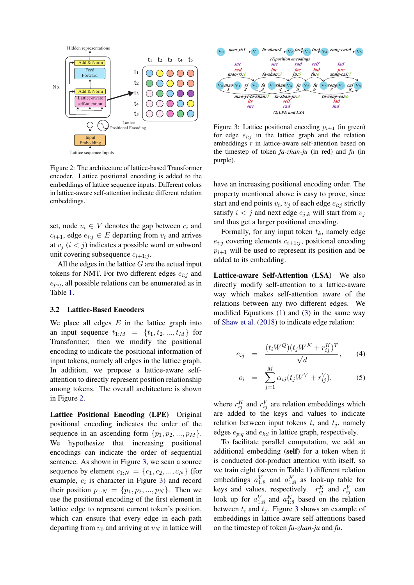<span id="page-2-0"></span>

Figure 2: The architecture of lattice-based Transformer encoder. Lattice positional encoding is added to the embeddings of lattice sequence inputs. Different colors in lattice-aware self-attention indicate different relation embeddings.

set, node  $v_i \in V$  denotes the gap between  $c_i$  and  $c_{i+1}$ , edge  $e_{i:j} \in E$  departing from  $v_i$  and arrives at  $v_i$  ( $i < j$ ) indicates a possible word or subword unit covering subsequence  $c_{i+1:i}$ .

All the edges in the lattice  $G$  are the actual input tokens for NMT. For two different edges  $e_{i:j}$  and  $e_{p:q}$ , all possible relations can be enumerated as in Table [1.](#page-1-1)

#### 3.2 Lattice-Based Encoders

We place all edges  $E$  in the lattice graph into an input sequence  $t_{1:M} = \{t_1, t_2, ..., t_M\}$  for Transformer; then we modify the positional encoding to indicate the positional information of input tokens, namely all edges in the lattice graph. In addition, we propose a lattice-aware selfattention to directly represent position relationship among tokens. The overall architecture is shown in Figure [2.](#page-2-0)

Lattice Positional Encoding (LPE) Original positional encoding indicates the order of the sequence in an ascending form  $\{p_1, p_2, ..., p_M\}$ . We hypothesize that increasing positional encodings can indicate the order of sequential sentence. As shown in Figure [3,](#page-2-1) we scan a source sequence by element  $c_{1:N} = \{c_1, c_2, ..., c_N\}$  (for example,  $c_i$  is character in Figure [3\)](#page-2-1) and record their position  $p_{1:N} = \{p_1, p_2, ..., p_N\}$ . Then we use the positional encoding of the first element in lattice edge to represent current token's position, which can ensure that every edge in each path departing from  $v_0$  and arriving at  $v_N$  in lattice will

<span id="page-2-1"></span>

Figure 3: Lattice positional encoding  $p_{i+1}$  (in green) for edge  $e_{i:j}$  in the lattice graph and the relation embeddings r in lattice-aware self-attention based on the timestep of token *fa-zhan-ju* (in red) and *fu* (in purple).

have an increasing positional encoding order. The property mentioned above is easy to prove, since start and end points  $v_i$ ,  $v_j$  of each edge  $e_{i:j}$  strictly satisfy  $i < j$  and next edge  $e_{i:k}$  will start from  $v_i$ and thus get a larger positional encoding.

Formally, for any input token  $t_k$ , namely edge  $e_{i:j}$  covering elements  $c_{i+1:j}$ , positional encoding  $p_{i+1}$  will be used to represent its position and be added to its embedding.

Lattice-aware Self-Attention (LSA) We also directly modify self-attention to a lattice-aware way which makes self-attention aware of the relations between any two different edges. We modified Equations [\(1\)](#page-1-2) and [\(3\)](#page-1-3) in the same way of [Shaw et al.](#page-6-7) [\(2018\)](#page-6-7) to indicate edge relation:

$$
e_{ij} = \frac{(t_i W^Q)(t_j W^K + r_{ij}^K)^T}{\sqrt{d}}, \qquad (4)
$$

$$
o_i = \sum_{j=1}^{M} \alpha_{ij} (t_j W^V + r_{ij}^V), \tag{5}
$$

where  $r_{ij}^K$  and  $r_{ij}^V$  are relation embeddings which are added to the keys and values to indicate relation between input tokens  $t_i$  and  $t_j$ , namely edges  $e_{p:q}$  and  $e_{k:l}$  in lattice graph, respectively.

To facilitate parallel computation, we add an additional embedding (self) for a token when it is conducted dot-product attention with itself, so we train eight (seven in Table [1\)](#page-1-1) different relation embeddings  $a_{1:8}^V$  and  $a_{1:8}^K$  as look-up table for keys and values, respectively.  $r_{ij}^K$  and  $r_{ij}^V$  can look up for  $a_{1:8}^V$  and  $a_{1:8}^K$  based on the relation between  $t_i$  and  $t_j$ . Figure [3](#page-2-1) shows an example of embeddings in lattice-aware self-attentions based on the timestep of token *fa-zhan-ju* and *fu*.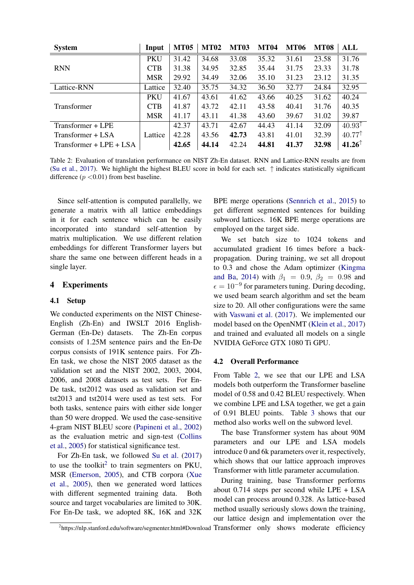<span id="page-3-1"></span>

| <b>System</b>             | Input      | <b>MT05</b> | <b>MT02</b> | <b>MT03</b> | <b>MT04</b> | <b>MT06</b> | <b>MT08</b> | ALL               |
|---------------------------|------------|-------------|-------------|-------------|-------------|-------------|-------------|-------------------|
|                           | <b>PKU</b> | 31.42       | 34.68       | 33.08       | 35.32       | 31.61       | 23.58       | 31.76             |
| <b>RNN</b>                | <b>CTB</b> | 31.38       | 34.95       | 32.85       | 35.44       | 31.75       | 23.33       | 31.78             |
|                           | <b>MSR</b> | 29.92       | 34.49       | 32.06       | 35.10       | 31.23       | 23.12       | 31.35             |
| Lattice-RNN               | Lattice    | 32.40       | 35.75       | 34.32       | 36.50       | 32.77       | 24.84       | 32.95             |
|                           | <b>PKU</b> | 41.67       | 43.61       | 41.62       | 43.66       | 40.25       | 31.62       | 40.24             |
| <b>Transformer</b>        | <b>CTB</b> | 41.87       | 43.72       | 42.11       | 43.58       | 40.41       | 31.76       | 40.35             |
|                           | <b>MSR</b> | 41.17       | 43.11       | 41.38       | 43.60       | 39.67       | 31.02       | 39.87             |
| Transformer + LPE         |            | 42.37       | 43.71       | 42.67       | 44.43       | 41.14       | 32.09       | $40.93^{\dagger}$ |
| Transformer + LSA         | Lattice    | 42.28       | 43.56       | 42.73       | 43.81       | 41.01       | 32.39       | 40.77             |
| Transformer + $LPE + LSA$ |            | 42.65       | 44.14       | 42.24       | 44.81       | 41.37       | 32.98       | $41.26^{\circ}$   |

Table 2: Evaluation of translation performance on NIST Zh-En dataset. RNN and Lattice-RNN results are from [\(Su et al.,](#page-6-5) [2017\)](#page-6-5). We highlight the highest BLEU score in bold for each set.  $\uparrow$  indicates statistically significant difference  $(p < 0.01)$  from best baseline.

Since self-attention is computed parallelly, we generate a matrix with all lattice embeddings in it for each sentence which can be easily incorporated into standard self-attention by matrix multiplication. We use different relation embeddings for different Transformer layers but share the same one between different heads in a single layer.

## 4 Experiments

### 4.1 Setup

We conducted experiments on the NIST Chinese-English (Zh-En) and IWSLT 2016 English-German (En-De) datasets. The Zh-En corpus consists of 1.25M sentence pairs and the En-De corpus consists of 191K sentence pairs. For Zh-En task, we chose the NIST 2005 dataset as the validation set and the NIST 2002, 2003, 2004, 2006, and 2008 datasets as test sets. For En-De task, tst2012 was used as validation set and tst2013 and tst2014 were used as test sets. For both tasks, sentence pairs with either side longer than 50 were dropped. We used the case-sensitive 4-gram NIST BLEU score [\(Papineni et al.,](#page-6-8) [2002\)](#page-6-8) as the evaluation metric and sign-test [\(Collins](#page-5-7) [et al.,](#page-5-7) [2005\)](#page-5-7) for statistical significance test.

For Zh-En task, we followed [Su et al.](#page-6-5) [\(2017\)](#page-6-5) to use the toolkit<sup>[2](#page-3-0)</sup> to train segmenters on PKU, MSR [\(Emerson,](#page-5-8) [2005\)](#page-5-8), and CTB corpora [\(Xue](#page-6-9) [et al.,](#page-6-9) [2005\)](#page-6-9), then we generated word lattices with different segmented training data. Both source and target vocabularies are limited to 30K. For En-De task, we adopted 8K, 16K and 32K

BPE merge operations [\(Sennrich et al.,](#page-6-3) [2015\)](#page-6-3) to get different segmented sentences for building subword lattices. 16K BPE merge operations are employed on the target side.

We set batch size to 1024 tokens and accumulated gradient 16 times before a backpropagation. During training, we set all dropout to 0.3 and chose the Adam optimizer [\(Kingma](#page-5-9) [and Ba,](#page-5-9) [2014\)](#page-5-9) with  $\beta_1 = 0.9$ ,  $\beta_2 = 0.98$  and  $\epsilon = 10^{-9}$  for parameters tuning. During decoding, we used beam search algorithm and set the beam size to 20. All other configurations were the same with [Vaswani et al.](#page-6-1) [\(2017\)](#page-6-1). We implemented our model based on the OpenNMT [\(Klein et al.,](#page-5-10) [2017\)](#page-5-10) and trained and evaluated all models on a single NVIDIA GeForce GTX 1080 Ti GPU.

#### 4.2 Overall Performance

From Table [2,](#page-3-1) we see that our LPE and LSA models both outperform the Transformer baseline model of 0.58 and 0.42 BLEU respectively. When we combine LPE and LSA together, we get a gain of 0.91 BLEU points. Table [3](#page-4-0) shows that our method also works well on the subword level.

The base Transformer system has about 90M parameters and our LPE and LSA models introduce 0 and 6k parameters over it, respectively, which shows that our lattice approach improves Transformer with little parameter accumulation.

During training, base Transformer performs about 0.714 steps per second while LPE + LSA model can process around 0.328. As lattice-based method usually seriously slows down the training, our lattice design and implementation over the

<span id="page-3-0"></span><sup>&</sup>lt;sup>2</sup>https://nlp.stanford.edu/software/segmenter.html#Download Transformer only shows moderate efficiency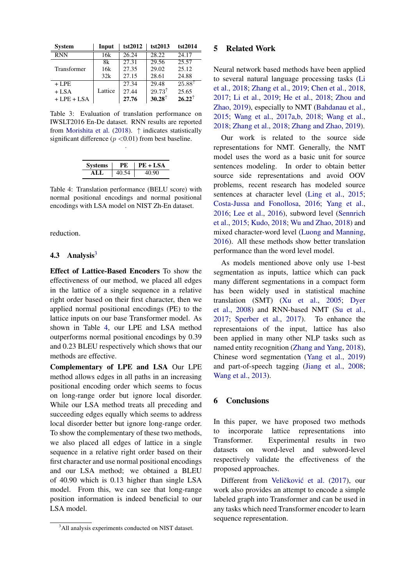<span id="page-4-0"></span>

| <b>System</b> | Input   | tst2012 | tst2013              | tst2014           |
|---------------|---------|---------|----------------------|-------------------|
| <b>RNN</b>    | 16k     | 26.24   | 28.22                | 24.17             |
|               | 8k      | 27.31   | 29.56                | 25.57             |
| Transformer   | 16k     | 27.35   | 29.02                | 25.12             |
|               | 32k     | 27.15   | 28.61                | 24.88             |
| $+$ LPE       |         | 27.34   | 29.48                | $25.88^{\dagger}$ |
| $+$ LSA       | Lattice | 27.44   | $29.73^{\dagger}$    | 25.65             |
| $+$ LPE + LSA |         | 27.76   | $30.28$ <sup>↑</sup> | $26.22^{\dagger}$ |

Table 3: Evaluation of translation performance on IWSLT2016 En-De dataset. RNN results are reported from [Morishita et al.](#page-6-4) [\(2018\)](#page-6-4).  $\uparrow$  indicates statistically significant difference  $(p < 0.01)$  from best baseline.

.

| <b>Systems</b> | PЕ.   | $PE + LSA$ |
|----------------|-------|------------|
|                | 40 54 |            |

<span id="page-4-2"></span>Table 4: Translation performance (BELU score) with normal positional encodings and normal positional encodings with LSA model on NIST Zh-En dataset.

reduction.

#### 4.[3](#page-4-1) Analysis $3$

Effect of Lattice-Based Encoders To show the effectiveness of our method, we placed all edges in the lattice of a single sequence in a relative right order based on their first character, then we applied normal positional encodings (PE) to the lattice inputs on our base Transformer model. As shown in Table [4,](#page-4-2) our LPE and LSA method outperforms normal positional encodings by 0.39 and 0.23 BLEU respectively which shows that our methods are effective.

Complementary of LPE and LSA Our LPE method allows edges in all paths in an increasing positional encoding order which seems to focus on long-range order but ignore local disorder. While our LSA method treats all preceding and succeeding edges equally which seems to address local disorder better but ignore long-range order. To show the complementary of these two methods, we also placed all edges of lattice in a single sequence in a relative right order based on their first character and use normal positional encodings and our LSA method; we obtained a BLEU of 40.90 which is 0.13 higher than single LSA model. From this, we can see that long-range position information is indeed beneficial to our LSA model.

#### 5 Related Work

Neural network based methods have been applied to several natural language processing tasks [\(Li](#page-5-11) [et al.,](#page-5-11) [2018;](#page-5-11) [Zhang et al.,](#page-7-3) [2019;](#page-7-3) [Chen et al.,](#page-5-12) [2018,](#page-5-12) [2017;](#page-5-13) [Li et al.,](#page-5-14) [2019;](#page-5-14) [He et al.,](#page-5-15) [2018;](#page-5-15) [Zhou and](#page-7-4) [Zhao,](#page-7-4) [2019\)](#page-7-4), especially to NMT [\(Bahdanau et al.,](#page-5-16) [2015;](#page-5-16) [Wang et al.,](#page-6-10) [2017a](#page-6-10)[,b,](#page-6-11) [2018;](#page-6-12) [Wang et al.,](#page-6-13) [2018;](#page-6-13) [Zhang et al.,](#page-7-5) [2018;](#page-7-5) [Zhang and Zhao,](#page-6-14) [2019\)](#page-6-14).

Our work is related to the source side representations for NMT. Generally, the NMT model uses the word as a basic unit for source sentences modeling. In order to obtain better source side representations and avoid OOV problems, recent research has modeled source sentences at character level [\(Ling et al.,](#page-5-17) [2015;](#page-5-17) [Costa-Jussa and Fonollosa,](#page-5-1) [2016;](#page-5-1) [Yang et al.,](#page-6-15) [2016;](#page-6-15) [Lee et al.,](#page-5-18) [2016\)](#page-5-18), subword level [\(Sennrich](#page-6-3) [et al.,](#page-6-3) [2015;](#page-6-3) [Kudo,](#page-5-19) [2018;](#page-5-19) [Wu and Zhao,](#page-6-16) [2018\)](#page-6-16) and mixed character-word level [\(Luong and Manning,](#page-5-20) [2016\)](#page-5-20). All these methods show better translation performance than the word level model.

As models mentioned above only use 1-best segmentation as inputs, lattice which can pack many different segmentations in a compact form has been widely used in statistical machine translation (SMT) [\(Xu et al.,](#page-6-17) [2005;](#page-6-17) [Dyer](#page-5-21) [et al.,](#page-5-21) [2008\)](#page-5-21) and RNN-based NMT [\(Su et al.,](#page-6-5) [2017;](#page-6-5) [Sperber et al.,](#page-6-6) [2017\)](#page-6-6). To enhance the representaions of the input, lattice has also been applied in many other NLP tasks such as named entity recognition [\(Zhang and Yang,](#page-7-6) [2018\)](#page-7-6), Chinese word segmentation [\(Yang et al.,](#page-6-18) [2019\)](#page-6-18) and part-of-speech tagging [\(Jiang et al.,](#page-5-22) [2008;](#page-5-22) [Wang et al.,](#page-6-19) [2013\)](#page-6-19).

## 6 Conclusions

In this paper, we have proposed two methods to incorporate lattice representations into Transformer. Experimental results in two datasets on word-level and subword-level respectively validate the effectiveness of the proposed approaches.

Different from Veličković et al. [\(2017\)](#page-6-20), our work also provides an attempt to encode a simple labeled graph into Transformer and can be used in any tasks which need Transformer encoder to learn sequence representation.

<span id="page-4-1"></span><sup>&</sup>lt;sup>3</sup>All analysis experiments conducted on NIST dataset.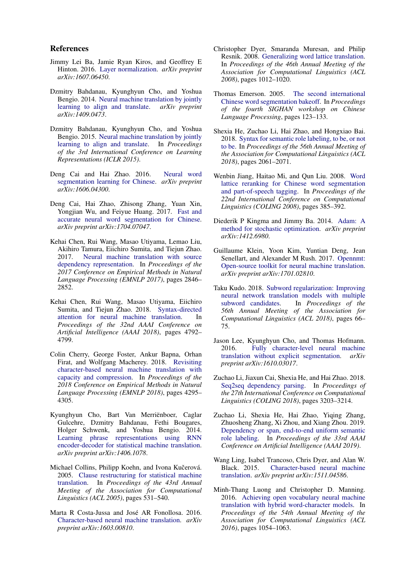#### References

- <span id="page-5-6"></span>Jimmy Lei Ba, Jamie Ryan Kiros, and Geoffrey E Hinton. 2016. [Layer normalization.](https://arxiv.org/pdf/1607.06450.pdf) *arXiv preprint arXiv:1607.06450*.
- <span id="page-5-0"></span>Dzmitry Bahdanau, Kyunghyun Cho, and Yoshua Bengio. 2014. [Neural machine translation by jointly](https://arxiv.org/pdf/1409.0473.pdf) [learning to align and translate.](https://arxiv.org/pdf/1409.0473.pdf) *arXiv preprint arXiv:1409.0473*.
- <span id="page-5-16"></span>Dzmitry Bahdanau, Kyunghyun Cho, and Yoshua Bengio. 2015. [Neural machine translation by jointly](http://arxiv.org/abs/1409.0473) [learning to align and translate.](http://arxiv.org/abs/1409.0473) In *Proceedings of the 3rd International Conference on Learning Representations (ICLR 2015)*.
- <span id="page-5-3"></span>Deng Cai and Hai Zhao. 2016. [Neural word](https://aclweb.org/anthology/P16-1039) [segmentation learning for Chinese.](https://aclweb.org/anthology/P16-1039) *arXiv preprint arXiv:1606.04300*.
- <span id="page-5-2"></span>Deng Cai, Hai Zhao, Zhisong Zhang, Yuan Xin, Yongjian Wu, and Feiyue Huang. 2017. [Fast and](https://www.aclweb.org/anthology/papers/P/P17/P17-2096/) [accurate neural word segmentation for Chinese.](https://www.aclweb.org/anthology/papers/P/P17/P17-2096/) *arXiv preprint arXiv:1704.07047*.
- <span id="page-5-13"></span>Kehai Chen, Rui Wang, Masao Utiyama, Lemao Liu, Akihiro Tamura, Eiichiro Sumita, and Tiejun Zhao. 2017. [Neural machine translation with source](https://www.aclweb.org/anthology/D17-1304) [dependency representation.](https://www.aclweb.org/anthology/D17-1304) In *Proceedings of the 2017 Conference on Empirical Methods in Natural Language Processing (EMNLP 2017)*, pages 2846– 2852.
- <span id="page-5-12"></span>Kehai Chen, Rui Wang, Masao Utiyama, Eiichiro Sumita, and Tiejun Zhao. 2018. [Syntax-directed](https://www.aaai.org/ocs/index.php/AAAI/AAAI18/paper/view/16060/16008) [attention for neural machine translation.](https://www.aaai.org/ocs/index.php/AAAI/AAAI18/paper/view/16060/16008) In *Proceedings of the 32nd AAAI Conference on Artificial Intelligence (AAAI 2018)*, pages 4792– 4799.
- <span id="page-5-5"></span>Colin Cherry, George Foster, Ankur Bapna, Orhan Firat, and Wolfgang Macherey. 2018. [Revisiting](https://aclweb.org/anthology/D18-1461) [character-based neural machine translation with](https://aclweb.org/anthology/D18-1461) [capacity and compression.](https://aclweb.org/anthology/D18-1461) In *Proceedings of the 2018 Conference on Empirical Methods in Natural Language Processing (EMNLP 2018)*, pages 4295– 4305.
- <span id="page-5-4"></span>Kyunghyun Cho, Bart Van Merrienboer, Caglar ¨ Gulcehre, Dzmitry Bahdanau, Fethi Bougares, Holger Schwenk, and Yoshua Bengio. 2014. [Learning phrase representations using RNN](https://www.aclweb.org/anthology/D14-1179) [encoder-decoder for statistical machine translation.](https://www.aclweb.org/anthology/D14-1179) *arXiv preprint arXiv:1406.1078*.
- <span id="page-5-7"></span>Michael Collins, Philipp Koehn, and Ivona Kučerová. 2005. [Clause restructuring for statistical machine](https://aclweb.org/anthology/papers/P/P05/P05-1066/) [translation.](https://aclweb.org/anthology/papers/P/P05/P05-1066/) In *Proceedings of the 43rd Annual Meeting of the Association for Computational Linguistics (ACL 2005)*, pages 531–540.
- <span id="page-5-1"></span>Marta R Costa-Jussa and José AR Fonollosa. 2016. [Character-based neural machine translation.](https://www.aclweb.org/anthology/P16-2058) *arXiv preprint arXiv:1603.00810*.
- <span id="page-5-21"></span>Christopher Dyer, Smaranda Muresan, and Philip Resnik. 2008. [Generalizing word lattice translation.](https://pdfs.semanticscholar.org/0eba/c51e17acde082a1957748d2c2fe585881daf.pdf) In *Proceedings of the 46th Annual Meeting of the Association for Computational Linguistics (ACL 2008)*, pages 1012–1020.
- <span id="page-5-8"></span>Thomas Emerson. 2005. [The second international](https://pdfs.semanticscholar.org/65e9/0d9f6754d32db464f635e7fdec672fad9ccf.pdf) [Chinese word segmentation bakeoff.](https://pdfs.semanticscholar.org/65e9/0d9f6754d32db464f635e7fdec672fad9ccf.pdf) In *Proceedings of the fourth SIGHAN workshop on Chinese Language Processing*, pages 123–133.
- <span id="page-5-15"></span>Shexia He, Zuchao Li, Hai Zhao, and Hongxiao Bai. 2018. [Syntax for semantic role labeling, to be, or not](https://www.aclweb.org/anthology/P18-1192) [to be.](https://www.aclweb.org/anthology/P18-1192) In *Proceedings of the 56th Annual Meeting of the Association for Computational Linguistics (ACL 2018)*, pages 2061–2071.
- <span id="page-5-22"></span>Wenbin Jiang, Haitao Mi, and Qun Liu. 2008. [Word](http://citeseerx.ist.psu.edu/viewdoc/download?doi=10.1.1.443.6089&rep=rep1&type=pdf) [lattice reranking for Chinese word segmentation](http://citeseerx.ist.psu.edu/viewdoc/download?doi=10.1.1.443.6089&rep=rep1&type=pdf) [and part-of-speech tagging.](http://citeseerx.ist.psu.edu/viewdoc/download?doi=10.1.1.443.6089&rep=rep1&type=pdf) In *Proceedings of the 22nd International Conference on Computational Linguistics (COLING 2008)*, pages 385–392.
- <span id="page-5-9"></span>Diederik P Kingma and Jimmy Ba. 2014. [Adam: A](https://arxiv.org/pdf/1412.6980) [method for stochastic optimization.](https://arxiv.org/pdf/1412.6980) *arXiv preprint arXiv:1412.6980*.
- <span id="page-5-10"></span>Guillaume Klein, Yoon Kim, Yuntian Deng, Jean Senellart, and Alexander M Rush. 2017. [Opennmt:](https://www.aclweb.org/anthology/W18-1817) [Open-source toolkit for neural machine translation.](https://www.aclweb.org/anthology/W18-1817) *arXiv preprint arXiv:1701.02810*.
- <span id="page-5-19"></span>Taku Kudo. 2018. [Subword regularization: Improving](https://www.aclweb.org/anthology/P18-1007) [neural network translation models with multiple](https://www.aclweb.org/anthology/P18-1007) [subword candidates.](https://www.aclweb.org/anthology/P18-1007) In *Proceedings of the 56th Annual Meeting of the Association for Computational Linguistics (ACL 2018)*, pages 66– 75.
- <span id="page-5-18"></span>Jason Lee, Kyunghyun Cho, and Thomas Hofmann. 2016. [Fully character-level neural machine](https://www.aclweb.org/anthology/Q17-1026) [translation without explicit segmentation.](https://www.aclweb.org/anthology/Q17-1026) *arXiv preprint arXiv:1610.03017*.
- <span id="page-5-11"></span>Zuchao Li, Jiaxun Cai, Shexia He, and Hai Zhao. 2018. [Seq2seq dependency parsing.](https://www.aclweb.org/anthology/C18-1271) In *Proceedings of the 27th International Conference on Computational Linguistics (COLING 2018)*, pages 3203–3214.
- <span id="page-5-14"></span>Zuchao Li, Shexia He, Hai Zhao, Yiqing Zhang, Zhuosheng Zhang, Xi Zhou, and Xiang Zhou. 2019. [Dependency or span, end-to-end uniform semantic](http://arxiv.org/abs/1901.05280) [role labeling.](http://arxiv.org/abs/1901.05280) In *Proceedings of the 33rd AAAI Conference on Artificial Intelligence (AAAI 2019)*.
- <span id="page-5-17"></span>Wang Ling, Isabel Trancoso, Chris Dyer, and Alan W. Black. 2015. [Character-based neural machine](https://www.aclweb.org/anthology/P16-2058) [translation.](https://www.aclweb.org/anthology/P16-2058) *arXiv preprint arXiv:1511.04586*.
- <span id="page-5-20"></span>Minh-Thang Luong and Christopher D. Manning. 2016. [Achieving open vocabulary neural machine](https://www.aclweb.org/anthology/P/P16/P16-1100.pdf) [translation with hybrid word-character models.](https://www.aclweb.org/anthology/P/P16/P16-1100.pdf) In *Proceedings of the 54th Annual Meeting of the Association for Computational Linguistics (ACL 2016)*, pages 1054–1063.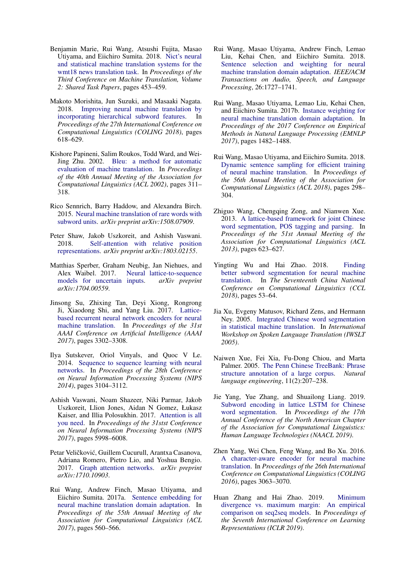- <span id="page-6-2"></span>Benjamin Marie, Rui Wang, Atsushi Fujita, Masao Utiyama, and Eiichiro Sumita. 2018. [Nict's neural](http://www.aclweb.org/anthology/W18-6419) [and statistical machine translation systems for the](http://www.aclweb.org/anthology/W18-6419) [wmt18 news translation task.](http://www.aclweb.org/anthology/W18-6419) In *Proceedings of the Third Conference on Machine Translation, Volume 2: Shared Task Papers*, pages 453–459.
- <span id="page-6-4"></span>Makoto Morishita, Jun Suzuki, and Masaaki Nagata. 2018. [Improving neural machine translation by](https://www.aclweb.org/anthology/C18-1052) [incorporating hierarchical subword features.](https://www.aclweb.org/anthology/C18-1052) In *Proceedings of the 27th International Conference on Computational Linguistics (COLING 2018)*, pages 618–629.
- <span id="page-6-8"></span>Kishore Papineni, Salim Roukos, Todd Ward, and Wei-Jing Zhu. 2002. [Bleu: a method for automatic](https://www.aclweb.org/anthology/P02-1040) [evaluation of machine translation.](https://www.aclweb.org/anthology/P02-1040) In *Proceedings of the 40th Annual Meeting of the Association for Computational Linguistics (ACL 2002)*, pages 311– 318.
- <span id="page-6-3"></span>Rico Sennrich, Barry Haddow, and Alexandra Birch. 2015. [Neural machine translation of rare words with](https://www.aclweb.org/anthology/P16-1162) [subword units.](https://www.aclweb.org/anthology/P16-1162) *arXiv preprint arXiv:1508.07909*.
- <span id="page-6-7"></span>Peter Shaw, Jakob Uszkoreit, and Ashish Vaswani. 2018. [Self-attention with relative position](https://www.aclweb.org/anthology/N18-2074) [representations.](https://www.aclweb.org/anthology/N18-2074) *arXiv preprint arXiv:1803.02155*.
- <span id="page-6-6"></span>Matthias Sperber, Graham Neubig, Jan Niehues, and Alex Waibel. 2017. [Neural lattice-to-sequence](https://www.aclweb.org/anthology/D17-1145) [models for uncertain inputs.](https://www.aclweb.org/anthology/D17-1145) *arXiv preprint arXiv:1704.00559*.
- <span id="page-6-5"></span>Jinsong Su, Zhixing Tan, Deyi Xiong, Rongrong Ji, Xiaodong Shi, and Yang Liu. 2017. [Lattice](https://arxiv.org/pdf/1609.07730.pdf)[based recurrent neural network encoders for neural](https://arxiv.org/pdf/1609.07730.pdf) [machine translation.](https://arxiv.org/pdf/1609.07730.pdf) In *Proceedings of the 31st AAAI Conference on Artificial Intelligence (AAAI 2017)*, pages 3302–3308.
- <span id="page-6-0"></span>Ilya Sutskever, Oriol Vinyals, and Quoc V Le. 2014. [Sequence to sequence learning with neural](https://papers.nips.cc/paper/5346-sequence-to-sequence-learning-with-neural-networks.pdf) [networks.](https://papers.nips.cc/paper/5346-sequence-to-sequence-learning-with-neural-networks.pdf) In *Proceedings of the 28th Conference on Neural Information Processing Systems (NIPS 2014)*, pages 3104–3112.
- <span id="page-6-1"></span>Ashish Vaswani, Noam Shazeer, Niki Parmar, Jakob Uszkoreit, Llion Jones, Aidan N Gomez, Łukasz Kaiser, and Illia Polosukhin. 2017. [Attention is all](https://papers.nips.cc/paper/7181-attention-is-all-you-need.pdf) [you need.](https://papers.nips.cc/paper/7181-attention-is-all-you-need.pdf) In *Proceedings of the 31stst Conference on Neural Information Processing Systems (NIPS 2017)*, pages 5998–6008.
- <span id="page-6-20"></span>Petar Veličković, Guillem Cucurull, Arantxa Casanova, Adriana Romero, Pietro Lio, and Yoshua Bengio. 2017. [Graph attention networks.](https://arxiv.org/pdf/1710.10903.pdf) *arXiv preprint arXiv:1710.10903*.
- <span id="page-6-10"></span>Rui Wang, Andrew Finch, Masao Utiyama, and Eiichiro Sumita. 2017a. [Sentence embedding for](https://www.aclweb.org/anthology/P17-2089) [neural machine translation domain adaptation.](https://www.aclweb.org/anthology/P17-2089) In *Proceedings of the 55th Annual Meeting of the Association for Computational Linguistics (ACL 2017)*, pages 560–566.
- <span id="page-6-13"></span>Rui Wang, Masao Utiyama, Andrew Finch, Lemao Liu, Kehai Chen, and Eiichiro Sumita. 2018. [Sentence selection and weighting for neural](https://doi.org/10.1109/TASLP.2018.2837223) [machine translation domain adaptation.](https://doi.org/10.1109/TASLP.2018.2837223) *IEEE/ACM Transactions on Audio, Speech, and Language Processing*, 26:1727–1741.
- <span id="page-6-11"></span>Rui Wang, Masao Utiyama, Lemao Liu, Kehai Chen, and Eiichiro Sumita. 2017b. [Instance weighting for](https://www.aclweb.org/anthology/D17-1155) [neural machine translation domain adaptation.](https://www.aclweb.org/anthology/D17-1155) In *Proceedings of the 2017 Conference on Empirical Methods in Natural Language Processing (EMNLP 2017)*, pages 1482–1488.
- <span id="page-6-12"></span>Rui Wang, Masao Utiyama, and Eiichiro Sumita. 2018. [Dynamic sentence sampling for efficient training](https://www.aclweb.org/anthology/P18-2048) [of neural machine translation.](https://www.aclweb.org/anthology/P18-2048) In *Proceedings of the 56th Annual Meeting of the Association for Computational Linguistics (ACL 2018)*, pages 298– 304.
- <span id="page-6-19"></span>Zhiguo Wang, Chengqing Zong, and Nianwen Xue. 2013. [A lattice-based framework for joint Chinese](https://www.aclweb.org/anthology/P13-2110) [word segmentation, POS tagging and parsing.](https://www.aclweb.org/anthology/P13-2110) In *Proceedings of the 51st Annual Meeting of the Association for Computational Linguistics (ACL 2013)*, pages 623–627.
- <span id="page-6-16"></span>Yingting Wu and Hai Zhao. 2018. [Finding](https://arxiv.org/pdf/1807.09639.pdf) [better subword segmentation for neural machine](https://arxiv.org/pdf/1807.09639.pdf) [translation.](https://arxiv.org/pdf/1807.09639.pdf) In *The Seventeenth China National Conference on Computational Linguistics (CCL 2018)*, pages 53–64.
- <span id="page-6-17"></span>Jia Xu, Evgeny Matusov, Richard Zens, and Hermann Ney. 2005. [Integrated Chinese word segmentation](http://citeseerx.ist.psu.edu/viewdoc/download?doi=10.1.1.854.2033&rep=rep1&type=pdf) [in statistical machine translation.](http://citeseerx.ist.psu.edu/viewdoc/download?doi=10.1.1.854.2033&rep=rep1&type=pdf) In *International Workshop on Spoken Language Translation (IWSLT 2005)*.
- <span id="page-6-9"></span>Naiwen Xue, Fei Xia, Fu-Dong Chiou, and Marta Palmer. 2005. [The Penn Chinese TreeBank: Phrase](https://pdfs.semanticscholar.org/2c72/257ae7a4a32dc60569f4e1fe4504b2678112.pdf) [structure annotation of a large corpus.](https://pdfs.semanticscholar.org/2c72/257ae7a4a32dc60569f4e1fe4504b2678112.pdf) *Natural language engineering*, 11(2):207–238.
- <span id="page-6-18"></span>Jie Yang, Yue Zhang, and Shuailong Liang. 2019. [Subword encoding in lattice LSTM for Chinese](https://arxiv.org/pdf/1810.12594.pdf) [word segmentation.](https://arxiv.org/pdf/1810.12594.pdf) In *Proceedings of the 17th Annual Conference of the North American Chapter of the Association for Computational Linguistics: Human Language Technologies (NAACL 2019)*.
- <span id="page-6-15"></span>Zhen Yang, Wei Chen, Feng Wang, and Bo Xu. 2016. [A character-aware encoder for neural machine](https://www.aclweb.org/anthology/papers/C/C16/C16-1288) [translation.](https://www.aclweb.org/anthology/papers/C/C16/C16-1288) In *Proceedings of the 26th International Conference on Computational Linguistics (COLING 2016)*, pages 3063–3070.
- <span id="page-6-14"></span>Huan Zhang and Hai Zhao. 2019. [Minimum](https://openreview.net/forum?id=H1xD9sR5Fm) [divergence vs. maximum margin: An empirical](https://openreview.net/forum?id=H1xD9sR5Fm) [comparison on seq2seq models.](https://openreview.net/forum?id=H1xD9sR5Fm) In *Proceedings of the Seventh International Conference on Learning Representations (ICLR 2019)*.